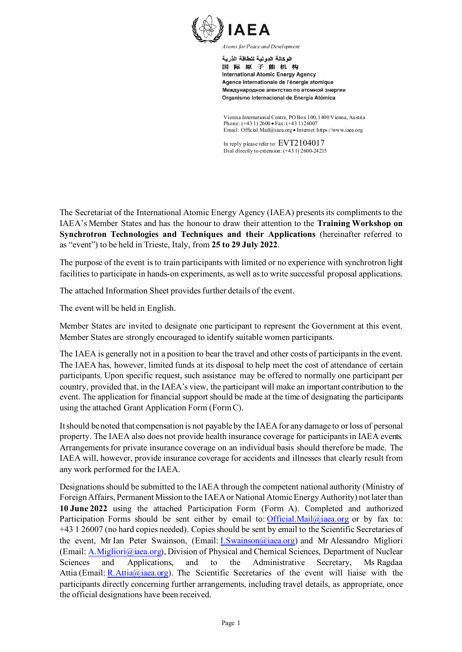

الوكالة الدولية للطاقة الذرية 国际原子能机构 **International Atomic Energy Agency** Agence internationale de l'énergie atomique Международное агентство по атомной энергии Organismo Internacional de Energía Atómica

Vienna International Centre, PO Box 100, 1400 Vienna, Austria Phone: (+43 1) 2600 • Fax: (+43 1) 26007 Email: Official.Mail@iaea.org • Internet: https://www.iaea.org

In reply please refer to: EVT2104017 Dial directly to extension: (+43 1) 2600-24215

The Secretariat of the International Atomic Energy Agency (IAEA) presents its compliments to the IAEA's Member States and has the honour to draw their attention to the **Training Workshop on Synchrotron Technologies and Techniques and their Applications** (hereinafter referred to as "event") to be held in Trieste, Italy, from **25 to 29 July 2022**.

The purpose of the event is to train participants with limited or no experience with synchrotron light facilities to participate in hands-on experiments, as well as to write successful proposal applications.

The attached Information Sheet provides further details of the event.

The event will be held in English.

Member States are invited to designate one participant to represent the Government at this event. Member States are strongly encouraged to identify suitable women participants.

The IAEA is generally not in a position to bear the travel and other costs of participants in the event. The IAEA has, however, limited funds at its disposal to help meet the cost of attendance of certain participants. Upon specific request, such assistance may be offered to normally one participant per country, provided that, in the IAEA's view, the participant will make an important contribution to the event. The application for financial support should be made at the time of designating the participants using the attached Grant Application Form (Form C).

It should be noted that compensation is not payable by the IAEA for any damage to or loss of personal property. The IAEA also does not provide health insurance coverage for participants in IAEA events. Arrangements for private insurance coverage on an individual basis should therefore be made. The IAEA will, however, provide insurance coverage for accidents and illnesses that clearly result from any work performed for the IAEA.

Designations should be submitted to the IAEA through the competent national authority (Ministry of Foreign Affairs, Permanent Mission to the IAEA or National Atomic Energy Authority) not later than **10 June 2022** using the attached Participation Form (Form A). Completed and authorized Participation Forms should be sent either by email to: [Official.Mail@iaea.org](mailto:Official.Mail@iaea.org) or by fax to: +43 1 26007 (no hard copies needed). Copies should be sent by email to the Scientific Secretaries of the event, Mr Ian Peter Swainson, (Email: [I.Swainson@iaea.org\)](mailto:I.Swainson@iaea.org) and Mr Alessandro Migliori (Email: [A.Migliori@iaea.org](mailto:A.Migliori@iaea.org)), Division of Physical and Chemical Sciences, Department of Nuclear Sciences and Applications, and to the Administrative Secretary, Ms Ragdaa Attia (Email: R.Attia $\omega$ iaea.org). The Scientific Secretaries of the event will liaise with the participants directly concerning further arrangements, including travel details, as appropriate, once the official designations have been received.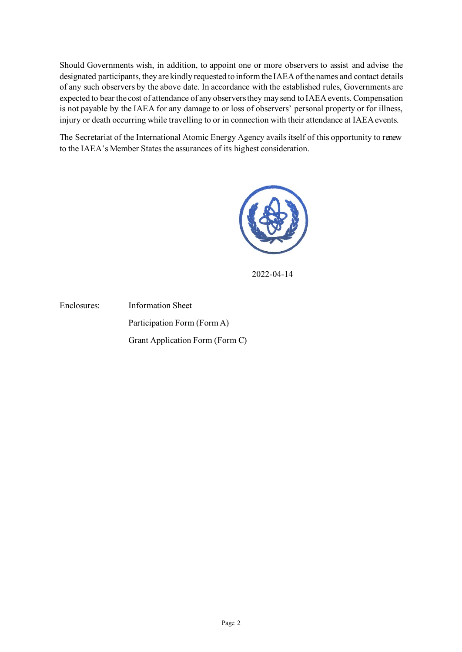Should Governments wish, in addition, to appoint one or more observers to assist and advise the designated participants, they are kindly requested to inform the IAEA of the names and contact details of any such observers by the above date. In accordance with the established rules, Governments are expected to bear the cost of attendance of any observers they may send to IAEA events. Compensation is not payable by the IAEA for any damage to or loss of observers' personal property or for illness, injury or death occurring while travelling to or in connection with their attendance at IAEA events.

The Secretariat of the International Atomic Energy Agency avails itself of this opportunity to renew to the IAEA's Member States the assurances of its highest consideration.



2022-04-14

Enclosures: Information Sheet Participation Form (Form A) Grant Application Form (Form C)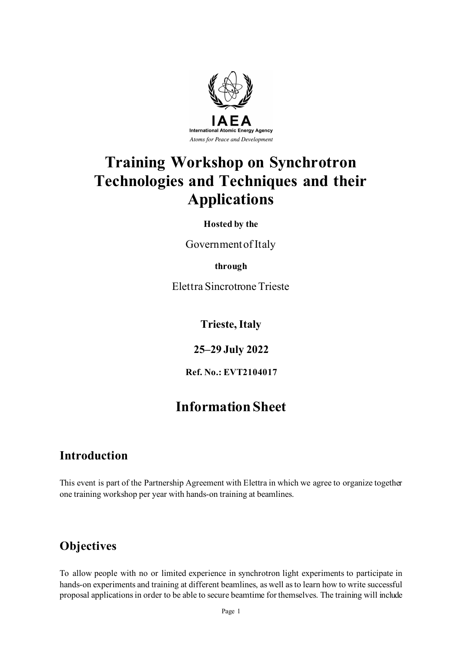

# **Training Workshop on Synchrotron Technologies and Techniques and their Applications**

**Hosted by the**

Government of Italy

**through**

Elettra Sincrotrone Trieste

**Trieste, Italy**

**25–29 July 2022**

**Ref. No.: EVT2104017**

# **Information Sheet**

# **Introduction**

This event is part of the Partnership Agreement with Elettra in which we agree to organize together one training workshop per year with hands-on training at beamlines.

# **Objectives**

To allow people with no or limited experience in synchrotron light experiments to participate in hands-on experiments and training at different beamlines, as well as to learn how to write successful proposal applications in order to be able to secure beamtime for themselves. The training will include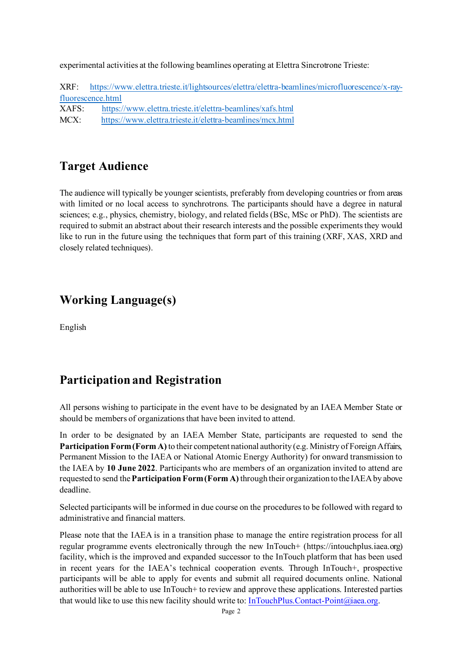experimental activities at the following beamlines operating at Elettra Sincrotrone Trieste:

XRF: [https://www.elettra.trieste.it/lightsources/elettra/elettra-beamlines/microfluorescence/x-ray](https://www.elettra.trieste.it/lightsources/elettra/elettra-beamlines/microfluorescence/x-ray-fluorescence.html)[fluorescence.html](https://www.elettra.trieste.it/lightsources/elettra/elettra-beamlines/microfluorescence/x-ray-fluorescence.html)  XAFS: <https://www.elettra.trieste.it/elettra-beamlines/xafs.html> MCX: <https://www.elettra.trieste.it/elettra-beamlines/mcx.html>

# **Target Audience**

The audience will typically be younger scientists, preferably from developing countries or from areas with limited or no local access to synchrotrons. The participants should have a degree in natural sciences; e.g., physics, chemistry, biology, and related fields (BSc, MSc or PhD). The scientists are required to submit an abstract about their research interests and the possible experiments they would like to run in the future using the techniques that form part of this training (XRF, XAS, XRD and closely related techniques).

# **Working Language(s)**

English

# **Participation and Registration**

All persons wishing to participate in the event have to be designated by an IAEA Member State or should be members of organizations that have been invited to attend.

In order to be designated by an IAEA Member State, participants are requested to send the **Participation Form (Form A)** to their competent national authority (e.g. Ministry of Foreign Affairs, Permanent Mission to the IAEA or National Atomic Energy Authority) for onward transmission to the IAEA by **10 June 2022**. Participants who are members of an organization invited to attend are requested to send the **Participation Form (Form A)** through their organization to the IAEA by above deadline.

Selected participants will be informed in due course on the procedures to be followed with regard to administrative and financial matters.

Please note that the IAEA is in a transition phase to manage the entire registration process for all regular programme events electronically through the new InTouch+ (https://intouchplus.iaea.org) facility, which is the improved and expanded successor to the InTouch platform that has been used in recent years for the IAEA's technical cooperation events. Through InTouch+, prospective participants will be able to apply for events and submit all required documents online. National authorities will be able to use InTouch+ to review and approve these applications. Interested parties that would like to use this new facility should write to[: InTouchPlus.Contact-Point@iaea.org](mailto:InTouchPlus.Contact-Point@iaea.org).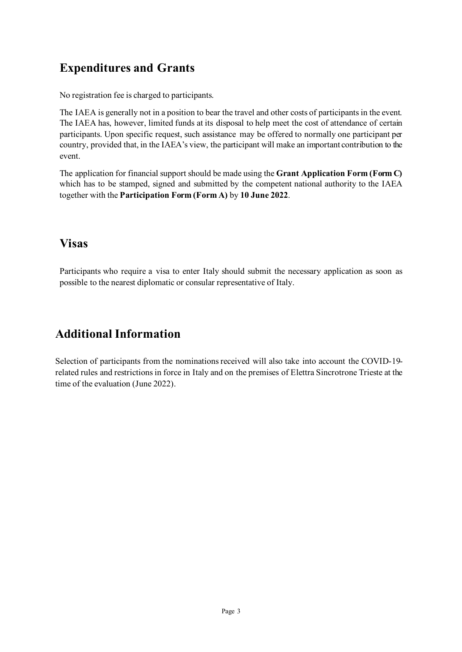# **Expenditures and Grants**

No registration fee is charged to participants.

The IAEA is generally not in a position to bear the travel and other costs of participants in the event. The IAEA has, however, limited funds at its disposal to help meet the cost of attendance of certain participants. Upon specific request, such assistance may be offered to normally one participant per country, provided that, in the IAEA's view, the participant will make an important contribution to the event.

The application for financial support should be made using the **Grant Application Form (Form C)** which has to be stamped, signed and submitted by the competent national authority to the IAEA together with the **Participation Form (Form A)** by **10 June 2022**.

# **Visas**

Participants who require a visa to enter Italy should submit the necessary application as soon as possible to the nearest diplomatic or consular representative of Italy.

# **Additional Information**

Selection of participants from the nominations received will also take into account the COVID-19 related rules and restrictions in force in Italy and on the premises of Elettra Sincrotrone Trieste at the time of the evaluation (June 2022).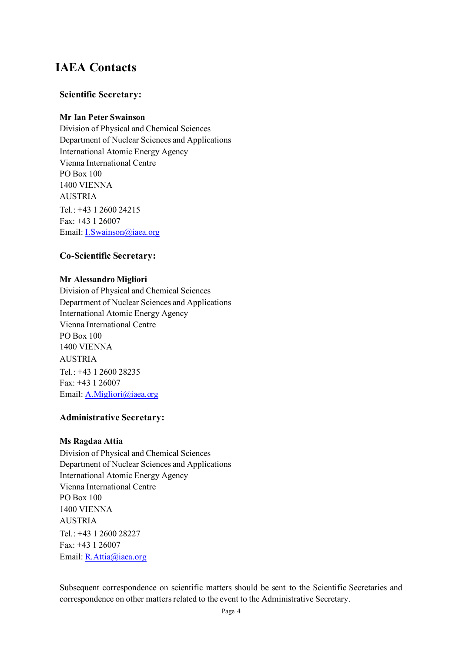# **IAEA Contacts**

## **Scientific Secretary:**

## **Mr Ian Peter Swainson**

Division of Physical and Chemical Sciences Department of Nuclear Sciences and Applications International Atomic Energy Agency Vienna International Centre PO Box 100 1400 VIENNA AUSTRIA Tel.: +43 1 2600 24215 Fax: +43 1 26007 Email[: I.Swainson@iaea.org](mailto:I.Swainson@iaea.org)

## **Co-Scientific Secretary:**

#### **Mr Alessandro Migliori**

Division of Physical and Chemical Sciences Department of Nuclear Sciences and Applications International Atomic Energy Agency Vienna International Centre PO Box 100 1400 VIENNA AUSTRIA Tel.: +43 1 2600 28235 Fax: +43 1 26007 Email: A.Migliori@iaea.org

## **Administrative Secretary:**

## **Ms Ragdaa Attia**

Division of Physical and Chemical Sciences Department of Nuclear Sciences and Applications International Atomic Energy Agency Vienna International Centre PO Box 100 1400 VIENNA AUSTRIA Tel.: +43 1 2600 28227 Fax: +43 1 26007 Email[: R.Attia@iaea.org](mailto:R.Attia@iaea.org)

Subsequent correspondence on scientific matters should be sent to the Scientific Secretaries and correspondence on other matters related to the event to the Administrative Secretary.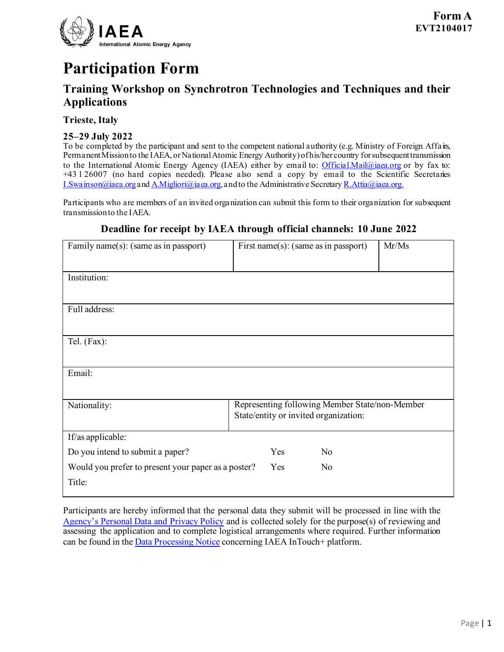

# **Participation Form**

## **Training Workshop on Synchrotron Technologies and Techniques and their Applications**

## **Trieste, Italy**

## **25–29 July 2022**

To be completed by the participant and sent to the competent national authority (e.g. Ministry of Foreign Affairs, Permanent Mission to the IAEA, or National Atomic Energy Authority) of his/her country for subsequent transmission to the International Atomic Energy Agency (IAEA) either by email to: *Official.Mail@iaea.org* or by fax to: +43 1 26007 (no hard copies needed). Please also send a copy by email to the Scientific Secretaries [I.Swainson@iaea.org](mailto:I.Swainson@iaea.org) and [A.Migliori@iaea.org,](mailto:A.Migliori@iaea.org) and to the Administrative Secretar[y R.Attia@iaea.org.](mailto:R.Attia@iaea.org)

Participants who are members of an invited organization can submit this form to their organization for subsequent transmission to the IAEA.

| Family name(s): (same as in passport)                         | First name(s): (same as in passport)                                                    | Mr/Ms |  |
|---------------------------------------------------------------|-----------------------------------------------------------------------------------------|-------|--|
| Institution:                                                  |                                                                                         |       |  |
| Full address:                                                 |                                                                                         |       |  |
| Tel. (Fax):                                                   |                                                                                         |       |  |
| Email:                                                        |                                                                                         |       |  |
| Nationality:                                                  | Representing following Member State/non-Member<br>State/entity or invited organization: |       |  |
| If/as applicable:                                             |                                                                                         |       |  |
| Do you intend to submit a paper?                              | Yes                                                                                     | No    |  |
| Would you prefer to present your paper as a poster?<br>Title: | Yes                                                                                     | No    |  |

## **Deadline for receipt by IAEA through official channels: 10 June 2022**

Participants are hereby informed that the personal data they submit will be processed in line with the [Agency's Personal Data and Privacy Policy](https://www.iaea.org/about/privacy-policy) and is collected solely for the purpose(s) of reviewing and assessing the application and to complete logistical arrangements where required. Further information can be found in the [Data Processing Notice](https://nucleus.iaea.org/sites/intouchplushelp/Documents/itp_dpn.pdf) concerning IAEA InTouch+ platform.